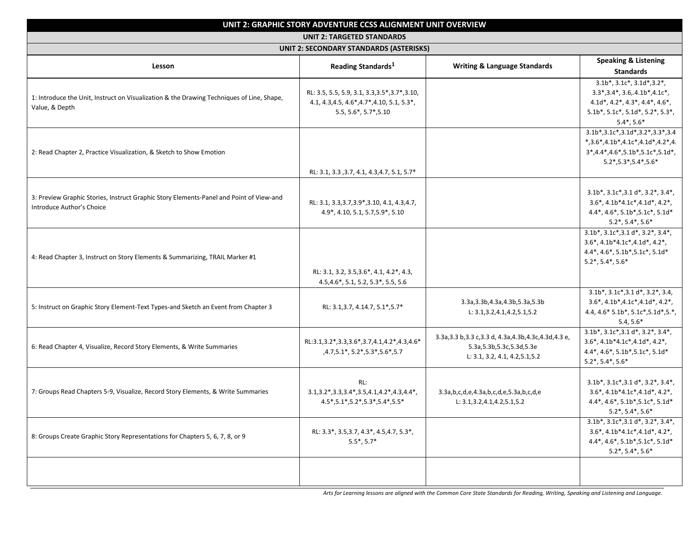| UNIT 2: GRAPHIC STORY ADVENTURE CCSS ALIGNMENT UNIT OVERVIEW<br><b>UNIT 2: TARGETED STANDARDS</b><br>UNIT 2: SECONDARY STANDARDS (ASTERISKS) |                                                                                                |                                                                                                                              |                                                                                                                                                                                              |  |  |                                                                                                             |                                                                                                                           |                                         |                                                                                                                                                                                                                                    |
|----------------------------------------------------------------------------------------------------------------------------------------------|------------------------------------------------------------------------------------------------|------------------------------------------------------------------------------------------------------------------------------|----------------------------------------------------------------------------------------------------------------------------------------------------------------------------------------------|--|--|-------------------------------------------------------------------------------------------------------------|---------------------------------------------------------------------------------------------------------------------------|-----------------------------------------|------------------------------------------------------------------------------------------------------------------------------------------------------------------------------------------------------------------------------------|
|                                                                                                                                              |                                                                                                |                                                                                                                              |                                                                                                                                                                                              |  |  | Lesson                                                                                                      | Reading Standards <sup>1</sup>                                                                                            | <b>Writing &amp; Language Standards</b> | <b>Speaking &amp; Listening</b><br><b>Standards</b>                                                                                                                                                                                |
|                                                                                                                                              |                                                                                                |                                                                                                                              |                                                                                                                                                                                              |  |  | 1: Introduce the Unit, Instruct on Visualization & the Drawing Techniques of Line, Shape,<br>Value, & Depth | RL: 3.5, 5.5, 5.9, 3.1, 3.3, 3.5*, 3.7*, 3.10,<br>4.1, 4.3, 4.5, 4.6 *, 4.7 *, 4.10, 5.1, 5.3 *,<br>5.5, 5.6*, 5.7*, 5.10 |                                         | $3.1b^*$ , $3.1c^*$ , $3.1d^*$ , $3.2^*$ ,<br>$3.3^*$ , $3.4^*$ , $3.6$ , $4.1b^*$ , $4.1c^*$ ,<br>$4.1d^*$ , $4.2^*$ , $4.3^*$ , $4.4^*$ , $4.6^*$ ,<br>$5.1b^*$ , $5.1c^*$ , $5.1d^*$ , $5.2^*$ , $5.3^*$ ,<br>$5.4^*$ , $5.6^*$ |
| 2: Read Chapter 2, Practice Visualization, & Sketch to Show Emotion                                                                          | RL: 3.1, 3.3, 3.7, 4.1, 4.3, 4.7, 5.1, 5.7*                                                    |                                                                                                                              | $3.1b^*$ , $3.1c^*$ , $3.1d^*$ , $3.2^*$ , $3.3^*$ , $3.4$<br>$*,3.6*,4.1b*,4.1c*,4.1d*,4.2*,4.$<br>$3*,4.4*,4.6*,5.1b*,5.1c*,5.1d*,$<br>$5.2^*$ , $5.3^*$ , $5.4^*$ , $5.6^*$               |  |  |                                                                                                             |                                                                                                                           |                                         |                                                                                                                                                                                                                                    |
| 3: Preview Graphic Stories, Instruct Graphic Story Elements-Panel and Point of View-and<br>Introduce Author's Choice                         | RL: 3.1, 3.3, 3.7, 3.9*, 3.10, 4.1, 4.3, 4.7,<br>4.9*, 4.10, 5.1, 5.7, 5.9*, 5.10              |                                                                                                                              | $3.1b^*$ , $3.1c^*$ , $3.1d^*$ , $3.2^*$ , $3.4^*$ ,<br>$3.6^*$ , $4.1b^*4.1c^*$ , $4.1d^*$ , $4.2^*$ ,<br>4.4*, 4.6*, 5.1b*, 5.1c*, 5.1d*<br>$5.2^*$ , $5.4^*$ , $5.6^*$                    |  |  |                                                                                                             |                                                                                                                           |                                         |                                                                                                                                                                                                                                    |
| 4: Read Chapter 3, Instruct on Story Elements & Summarizing, TRAIL Marker #1                                                                 | RL: 3.1, 3.2, 3.5, 3.6*, 4.1, 4.2*, 4.3,<br>4.5,4.6*, 5.1, 5.2, 5.3*, 5.5, 5.6                 |                                                                                                                              | $3.1b^*$ , $3.1c^*$ , $3.1d^*$ , $3.2^*$ , $3.4^*$ ,<br>$3.6^*$ , $4.1b^*4.1c^*$ , $4.1d^*$ , $4.2^*$ ,<br>4.4*, 4.6*, 5.1b*, 5.1c*, 5.1d*<br>$5.2^*$ , $5.4^*$ , $5.6^*$                    |  |  |                                                                                                             |                                                                                                                           |                                         |                                                                                                                                                                                                                                    |
| 5: Instruct on Graphic Story Element-Text Types-and Sketch an Event from Chapter 3                                                           | RL: 3.1, 3.7, 4.14.7, 5.1*, 5.7*                                                               | 3.3a, 3.3b, 4.3a, 4.3b, 5.3a, 5.3b<br>L: $3.1, 3.2, 4.1, 4.2, 5.1, 5.2$                                                      | $3.1b^*$ , $3.1c^*$ , $3.1d^*$ , $3.2^*$ , $3.4$ ,<br>$3.6^*$ , $4.1b^*$ , $4.1c^*$ , $4.1d^*$ , $4.2^*$ ,<br>4.4, 4.6* 5.1b*, 5.1c*, 5.1d*, 5.*,<br>$5.4, 5.6*$                             |  |  |                                                                                                             |                                                                                                                           |                                         |                                                                                                                                                                                                                                    |
| 6: Read Chapter 4, Visualize, Record Story Elements, & Write Summaries                                                                       | RL:3.1,3.2*,3.3,3.6*,3.7,4.1,4.2*,4.3,4.6*<br>,4.7,5.1*, 5.2*, 5.3*, 5.6*, 5.7                 | 3.3a, 3.3 b, 3.3 c, 3.3 d, 4.3a, 4.3b, 4.3c, 4.3d, 4.3 e,<br>5.3a, 5.3b, 5.3c, 5.3d, 5.3e<br>L: 3.1, 3.2, 4.1, 4.2, 5.1, 5.2 | $3.1b^*$ , $3.1c^*$ , $3.1d^*$ , $3.2^*$ , $3.4^*$ ,<br>$3.6^*$ , $4.1b^*4.1c^*$ , $4.1d^*$ , $4.2^*$ ,<br>$4.4^*$ , $4.6^*$ , $5.1b^*$ , $5.1c^*$ , $5.1d^*$<br>$5.2^*$ , $5.4^*$ , $5.6^*$ |  |  |                                                                                                             |                                                                                                                           |                                         |                                                                                                                                                                                                                                    |
| 7: Groups Read Chapters 5-9, Visualize, Record Story Elements, & Write Summaries                                                             | RL:<br>$3.1, 3.2^*, 3.3, 3.4^*, 3.5, 4.1, 4.2^*, 4.3, 4.4^*,$<br>4.5*,5.1*,5.2*,5.3*,5.4*,5.5* | 3.3a,b,c,d,e,4.3a,b,c,d,e,5.3a,b,c,d,e<br>L: 3.1, 3.2, 4.1, 4.2, 5.1, 5.2                                                    | $3.1b^*$ , $3.1c^*$ , $3.1d^*$ , $3.2^*$ , $3.4^*$ ,<br>$3.6^*$ , $4.1b^*4.1c^*$ , $4.1d^*$ , $4.2^*$ ,<br>4.4*, 4.6*, 5.1b*, 5.1c*, 5.1d*<br>$5.2^*$ , $5.4^*$ , $5.6^*$                    |  |  |                                                                                                             |                                                                                                                           |                                         |                                                                                                                                                                                                                                    |
| 8: Groups Create Graphic Story Representations for Chapters 5, 6, 7, 8, or 9                                                                 | RL: 3.3*, 3.5, 3.7, 4.3*, 4.5, 4.7, 5.3*,<br>$5.5^*$ , $5.7^*$                                 |                                                                                                                              | $3.1b^*$ , $3.1c^*$ , $3.1d^*$ , $3.2^*$ , $3.4^*$ ,<br>$3.6^*$ , $4.1b^*4.1c^*$ , $4.1d^*$ , $4.2^*$ ,<br>4.4*, 4.6*, 5.1b*, 5.1c*, 5.1d*<br>$5.2^*$ , 5.4 $*$ , 5.6 $*$                    |  |  |                                                                                                             |                                                                                                                           |                                         |                                                                                                                                                                                                                                    |
|                                                                                                                                              |                                                                                                |                                                                                                                              |                                                                                                                                                                                              |  |  |                                                                                                             |                                                                                                                           |                                         |                                                                                                                                                                                                                                    |

*Arts for Learning lessons are aligned with the Common Core State Standards for Reading, Writing, Speaking and Listening and Language.*